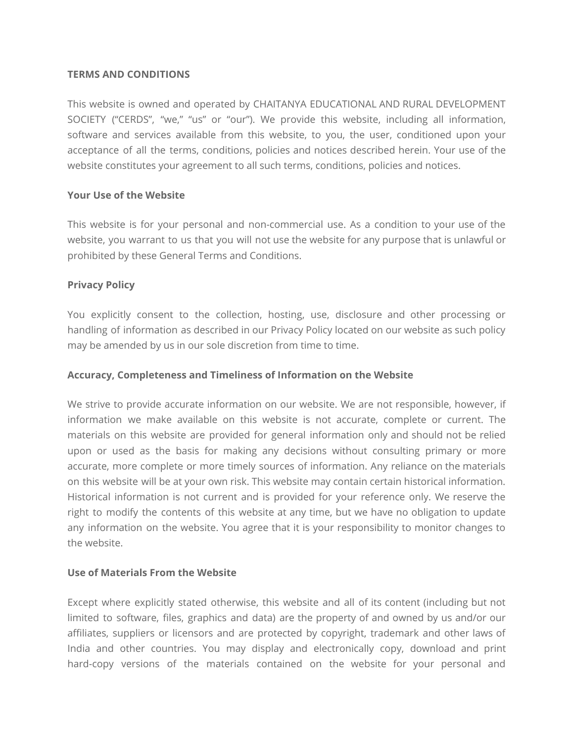## **TERMS AND CONDITIONS**

This website is owned and operated by CHAITANYA EDUCATIONAL AND RURAL DEVELOPMENT SOCIETY ("CERDS", "we," "us" or "our"). We provide this website, including all information, software and services available from this website, to you, the user, conditioned upon your acceptance of all the terms, conditions, policies and notices described herein. Your use of the website constitutes your agreement to all such terms, conditions, policies and notices.

# **Your Use of the Website**

This website is for your personal and non-commercial use. As a condition to your use of the website, you warrant to us that you will not use the website for any purpose that is unlawful or prohibited by these General Terms and Conditions.

## **Privacy Policy**

You explicitly consent to the collection, hosting, use, disclosure and other processing or handling of information as described in our Privacy Policy located on our website as such policy may be amended by us in our sole discretion from time to time.

## **Accuracy, Completeness and Timeliness of Information on the Website**

We strive to provide accurate information on our website. We are not responsible, however, if information we make available on this website is not accurate, complete or current. The materials on this website are provided for general information only and should not be relied upon or used as the basis for making any decisions without consulting primary or more accurate, more complete or more timely sources of information. Any reliance on the materials on this website will be at your own risk. This website may contain certain historical information. Historical information is not current and is provided for your reference only. We reserve the right to modify the contents of this website at any time, but we have no obligation to update any information on the website. You agree that it is your responsibility to monitor changes to the website.

#### **Use of Materials From the Website**

Except where explicitly stated otherwise, this website and all of its content (including but not limited to software, files, graphics and data) are the property of and owned by us and/or our affiliates, suppliers or licensors and are protected by copyright, trademark and other laws of India and other countries. You may display and electronically copy, download and print hard-copy versions of the materials contained on the website for your personal and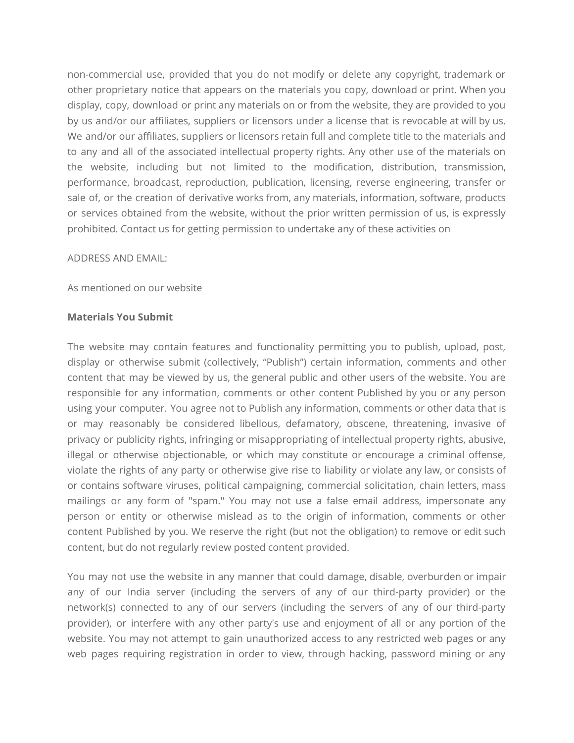non-commercial use, provided that you do not modify or delete any copyright, trademark or other proprietary notice that appears on the materials you copy, download or print. When you display, copy, download or print any materials on or from the website, they are provided to you by us and/or our affiliates, suppliers or licensors under a license that is revocable at will by us. We and/or our affiliates, suppliers or licensors retain full and complete title to the materials and to any and all of the associated intellectual property rights. Any other use of the materials on the website, including but not limited to the modification, distribution, transmission, performance, broadcast, reproduction, publication, licensing, reverse engineering, transfer or sale of, or the creation of derivative works from, any materials, information, software, products or services obtained from the website, without the prior written permission of us, is expressly prohibited. Contact us for getting permission to undertake any of these activities on

#### ADDRESS AND EMAIL:

As mentioned on our website

#### **Materials You Submit**

The website may contain features and functionality permitting you to publish, upload, post, display or otherwise submit (collectively, "Publish") certain information, comments and other content that may be viewed by us, the general public and other users of the website. You are responsible for any information, comments or other content Published by you or any person using your computer. You agree not to Publish any information, comments or other data that is or may reasonably be considered libellous, defamatory, obscene, threatening, invasive of privacy or publicity rights, infringing or misappropriating of intellectual property rights, abusive, illegal or otherwise objectionable, or which may constitute or encourage a criminal offense, violate the rights of any party or otherwise give rise to liability or violate any law, or consists of or contains software viruses, political campaigning, commercial solicitation, chain letters, mass mailings or any form of "spam." You may not use a false email address, impersonate any person or entity or otherwise mislead as to the origin of information, comments or other content Published by you. We reserve the right (but not the obligation) to remove or edit such content, but do not regularly review posted content provided.

You may not use the website in any manner that could damage, disable, overburden or impair any of our India server (including the servers of any of our third-party provider) or the network(s) connected to any of our servers (including the servers of any of our third-party provider), or interfere with any other party's use and enjoyment of all or any portion of the website. You may not attempt to gain unauthorized access to any restricted web pages or any web pages requiring registration in order to view, through hacking, password mining or any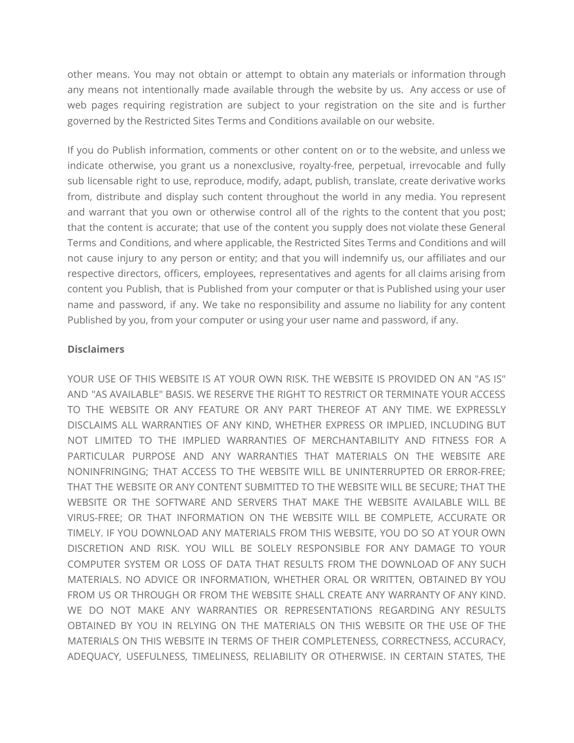other means. You may not obtain or attempt to obtain any materials or information through any means not intentionally made available through the website by us. Any access or use of web pages requiring registration are subject to your registration on the site and is further governed by the Restricted Sites Terms and Conditions available on our website.

If you do Publish information, comments or other content on or to the website, and unless we indicate otherwise, you grant us a nonexclusive, royalty-free, perpetual, irrevocable and fully sub licensable right to use, reproduce, modify, adapt, publish, translate, create derivative works from, distribute and display such content throughout the world in any media. You represent and warrant that you own or otherwise control all of the rights to the content that you post; that the content is accurate; that use of the content you supply does not violate these General Terms and Conditions, and where applicable, the Restricted Sites Terms and Conditions and will not cause injury to any person or entity; and that you will indemnify us, our affiliates and our respective directors, officers, employees, representatives and agents for all claims arising from content you Publish, that is Published from your computer or that is Published using your user name and password, if any. We take no responsibility and assume no liability for any content Published by you, from your computer or using your user name and password, if any.

## **Disclaimers**

YOUR USE OF THIS WEBSITE IS AT YOUR OWN RISK. THE WEBSITE IS PROVIDED ON AN "AS IS" AND "AS AVAILABLE" BASIS. WE RESERVE THE RIGHT TO RESTRICT OR TERMINATE YOUR ACCESS TO THE WEBSITE OR ANY FEATURE OR ANY PART THEREOF AT ANY TIME. WE EXPRESSLY DISCLAIMS ALL WARRANTIES OF ANY KIND, WHETHER EXPRESS OR IMPLIED, INCLUDING BUT NOT LIMITED TO THE IMPLIED WARRANTIES OF MERCHANTABILITY AND FITNESS FOR A PARTICULAR PURPOSE AND ANY WARRANTIES THAT MATERIALS ON THE WEBSITE ARE NONINFRINGING; THAT ACCESS TO THE WEBSITE WILL BE UNINTERRUPTED OR ERROR-FREE; THAT THE WEBSITE OR ANY CONTENT SUBMITTED TO THE WEBSITE WILL BE SECURE; THAT THE WEBSITE OR THE SOFTWARE AND SERVERS THAT MAKE THE WEBSITE AVAILABLE WILL BE VIRUS-FREE; OR THAT INFORMATION ON THE WEBSITE WILL BE COMPLETE, ACCURATE OR TIMELY. IF YOU DOWNLOAD ANY MATERIALS FROM THIS WEBSITE, YOU DO SO AT YOUR OWN DISCRETION AND RISK. YOU WILL BE SOLELY RESPONSIBLE FOR ANY DAMAGE TO YOUR COMPUTER SYSTEM OR LOSS OF DATA THAT RESULTS FROM THE DOWNLOAD OF ANY SUCH MATERIALS. NO ADVICE OR INFORMATION, WHETHER ORAL OR WRITTEN, OBTAINED BY YOU FROM US OR THROUGH OR FROM THE WEBSITE SHALL CREATE ANY WARRANTY OF ANY KIND. WE DO NOT MAKE ANY WARRANTIES OR REPRESENTATIONS REGARDING ANY RESULTS OBTAINED BY YOU IN RELYING ON THE MATERIALS ON THIS WEBSITE OR THE USE OF THE MATERIALS ON THIS WEBSITE IN TERMS OF THEIR COMPLETENESS, CORRECTNESS, ACCURACY, ADEQUACY, USEFULNESS, TIMELINESS, RELIABILITY OR OTHERWISE. IN CERTAIN STATES, THE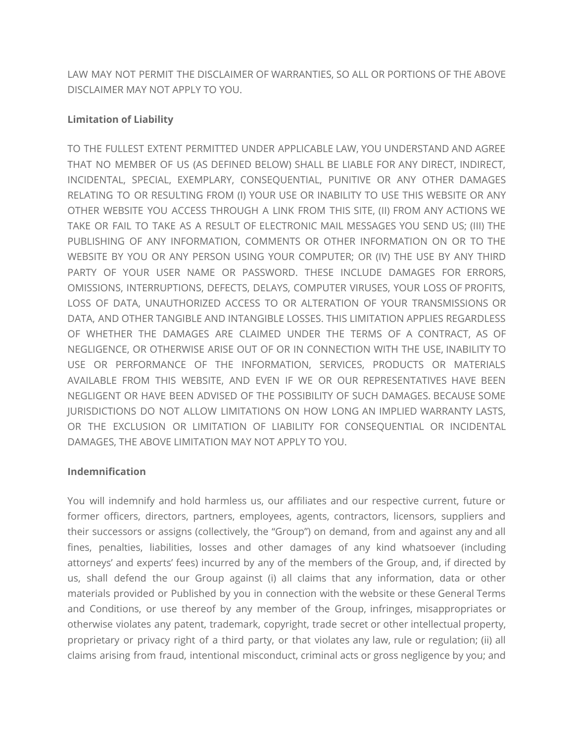LAW MAY NOT PERMIT THE DISCLAIMER OF WARRANTIES, SO ALL OR PORTIONS OF THE ABOVE DISCLAIMER MAY NOT APPLY TO YOU.

# **Limitation of Liability**

TO THE FULLEST EXTENT PERMITTED UNDER APPLICABLE LAW, YOU UNDERSTAND AND AGREE THAT NO MEMBER OF US (AS DEFINED BELOW) SHALL BE LIABLE FOR ANY DIRECT, INDIRECT, INCIDENTAL, SPECIAL, EXEMPLARY, CONSEQUENTIAL, PUNITIVE OR ANY OTHER DAMAGES RELATING TO OR RESULTING FROM (I) YOUR USE OR INABILITY TO USE THIS WEBSITE OR ANY OTHER WEBSITE YOU ACCESS THROUGH A LINK FROM THIS SITE, (II) FROM ANY ACTIONS WE TAKE OR FAIL TO TAKE AS A RESULT OF ELECTRONIC MAIL MESSAGES YOU SEND US; (III) THE PUBLISHING OF ANY INFORMATION, COMMENTS OR OTHER INFORMATION ON OR TO THE WEBSITE BY YOU OR ANY PERSON USING YOUR COMPUTER; OR (IV) THE USE BY ANY THIRD PARTY OF YOUR USER NAME OR PASSWORD. THESE INCLUDE DAMAGES FOR ERRORS, OMISSIONS, INTERRUPTIONS, DEFECTS, DELAYS, COMPUTER VIRUSES, YOUR LOSS OF PROFITS, LOSS OF DATA, UNAUTHORIZED ACCESS TO OR ALTERATION OF YOUR TRANSMISSIONS OR DATA, AND OTHER TANGIBLE AND INTANGIBLE LOSSES. THIS LIMITATION APPLIES REGARDLESS OF WHETHER THE DAMAGES ARE CLAIMED UNDER THE TERMS OF A CONTRACT, AS OF NEGLIGENCE, OR OTHERWISE ARISE OUT OF OR IN CONNECTION WITH THE USE, INABILITY TO USE OR PERFORMANCE OF THE INFORMATION, SERVICES, PRODUCTS OR MATERIALS AVAILABLE FROM THIS WEBSITE, AND EVEN IF WE OR OUR REPRESENTATIVES HAVE BEEN NEGLIGENT OR HAVE BEEN ADVISED OF THE POSSIBILITY OF SUCH DAMAGES. BECAUSE SOME JURISDICTIONS DO NOT ALLOW LIMITATIONS ON HOW LONG AN IMPLIED WARRANTY LASTS, OR THE EXCLUSION OR LIMITATION OF LIABILITY FOR CONSEQUENTIAL OR INCIDENTAL DAMAGES, THE ABOVE LIMITATION MAY NOT APPLY TO YOU.

# **Indemnification**

You will indemnify and hold harmless us, our affiliates and our respective current, future or former officers, directors, partners, employees, agents, contractors, licensors, suppliers and their successors or assigns (collectively, the "Group") on demand, from and against any and all fines, penalties, liabilities, losses and other damages of any kind whatsoever (including attorneys' and experts' fees) incurred by any of the members of the Group, and, if directed by us, shall defend the our Group against (i) all claims that any information, data or other materials provided or Published by you in connection with the website or these General Terms and Conditions, or use thereof by any member of the Group, infringes, misappropriates or otherwise violates any patent, trademark, copyright, trade secret or other intellectual property, proprietary or privacy right of a third party, or that violates any law, rule or regulation; (ii) all claims arising from fraud, intentional misconduct, criminal acts or gross negligence by you; and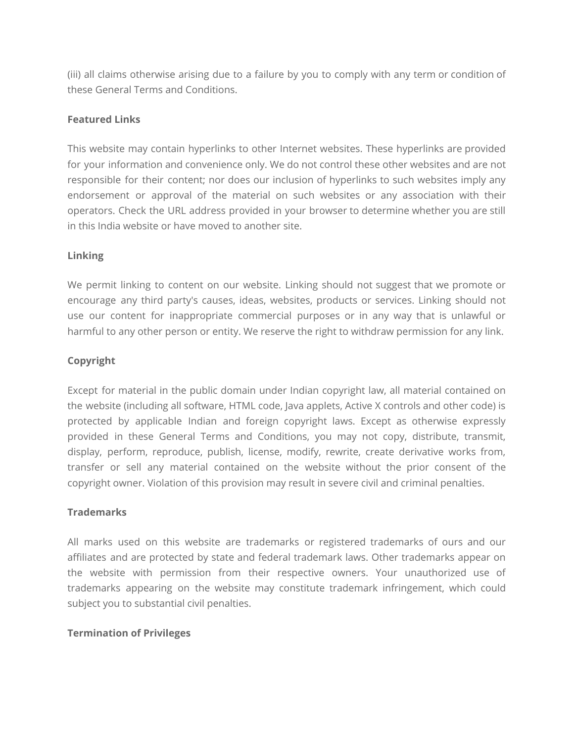(iii) all claims otherwise arising due to a failure by you to comply with any term or condition of these General Terms and Conditions.

# **Featured Links**

This website may contain hyperlinks to other Internet websites. These hyperlinks are provided for your information and convenience only. We do not control these other websites and are not responsible for their content; nor does our inclusion of hyperlinks to such websites imply any endorsement or approval of the material on such websites or any association with their operators. Check the URL address provided in your browser to determine whether you are still in this India website or have moved to another site.

# **Linking**

We permit linking to content on our website. Linking should not suggest that we promote or encourage any third party's causes, ideas, websites, products or services. Linking should not use our content for inappropriate commercial purposes or in any way that is unlawful or harmful to any other person or entity. We reserve the right to withdraw permission for any link.

# **Copyright**

Except for material in the public domain under Indian copyright law, all material contained on the website (including all software, HTML code, Java applets, Active X controls and other code) is protected by applicable Indian and foreign copyright laws. Except as otherwise expressly provided in these General Terms and Conditions, you may not copy, distribute, transmit, display, perform, reproduce, publish, license, modify, rewrite, create derivative works from, transfer or sell any material contained on the website without the prior consent of the copyright owner. Violation of this provision may result in severe civil and criminal penalties.

# **Trademarks**

All marks used on this website are trademarks or registered trademarks of ours and our affiliates and are protected by state and federal trademark laws. Other trademarks appear on the website with permission from their respective owners. Your unauthorized use of trademarks appearing on the website may constitute trademark infringement, which could subject you to substantial civil penalties.

# **Termination of Privileges**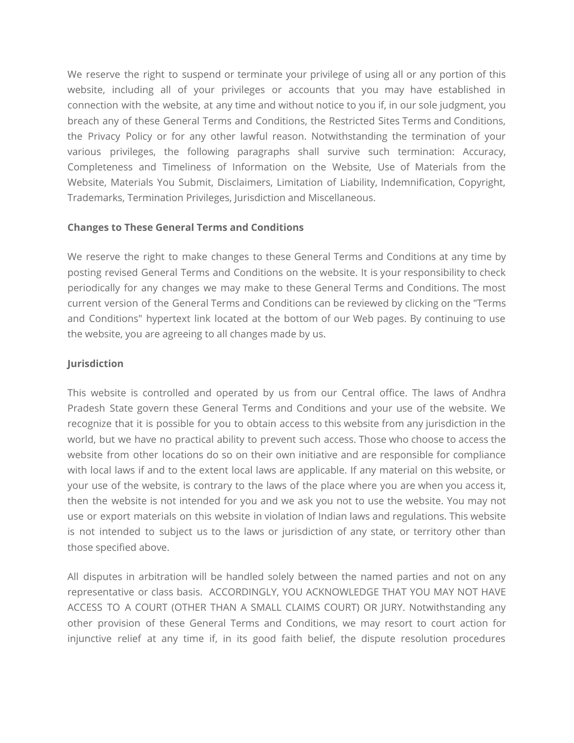We reserve the right to suspend or terminate your privilege of using all or any portion of this website, including all of your privileges or accounts that you may have established in connection with the website, at any time and without notice to you if, in our sole judgment, you breach any of these General Terms and Conditions, the Restricted Sites Terms and Conditions, the Privacy Policy or for any other lawful reason. Notwithstanding the termination of your various privileges, the following paragraphs shall survive such termination: Accuracy, Completeness and Timeliness of Information on the Website, Use of Materials from the Website, Materials You Submit, Disclaimers, Limitation of Liability, Indemnification, Copyright, Trademarks, Termination Privileges, Jurisdiction and Miscellaneous.

# **Changes to These General Terms and Conditions**

We reserve the right to make changes to these General Terms and Conditions at any time by posting revised General Terms and Conditions on the website. It is your responsibility to check periodically for any changes we may make to these General Terms and Conditions. The most current version of the General Terms and Conditions can be reviewed by clicking on the "Terms and Conditions" hypertext link located at the bottom of our Web pages. By continuing to use the website, you are agreeing to all changes made by us.

## **Jurisdiction**

This website is controlled and operated by us from our Central office. The laws of Andhra Pradesh State govern these General Terms and Conditions and your use of the website. We recognize that it is possible for you to obtain access to this website from any jurisdiction in the world, but we have no practical ability to prevent such access. Those who choose to access the website from other locations do so on their own initiative and are responsible for compliance with local laws if and to the extent local laws are applicable. If any material on this website, or your use of the website, is contrary to the laws of the place where you are when you access it, then the website is not intended for you and we ask you not to use the website. You may not use or export materials on this website in violation of Indian laws and regulations. This website is not intended to subject us to the laws or jurisdiction of any state, or territory other than those specified above.

All disputes in arbitration will be handled solely between the named parties and not on any representative or class basis. ACCORDINGLY, YOU ACKNOWLEDGE THAT YOU MAY NOT HAVE ACCESS TO A COURT (OTHER THAN A SMALL CLAIMS COURT) OR JURY. Notwithstanding any other provision of these General Terms and Conditions, we may resort to court action for injunctive relief at any time if, in its good faith belief, the dispute resolution procedures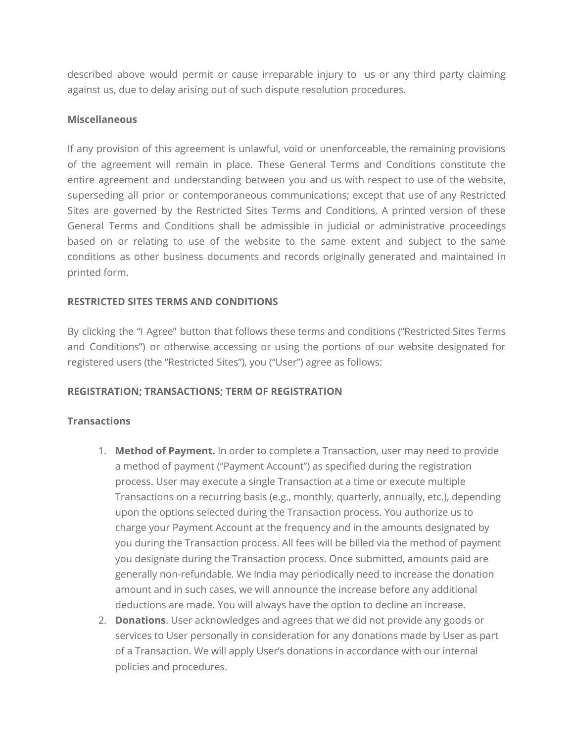described above would permit or cause irreparable injury to us or any third party claiming against us, due to delay arising out of such dispute resolution procedures.

#### **Miscellaneous**

If any provision of this agreement is unlawful, void or unenforceable, the remaining provisions of the agreement will remain in place. These General Terms and Conditions constitute the entire agreement and understanding between you and us with respect to use of the website, superseding all prior or contemporaneous communications; except that use of any Restricted Sites are governed by the Restricted Sites Terms and Conditions. A printed version of these General Terms and Conditions shall be admissible in judicial or administrative proceedings based on or relating to use of the website to the same extent and subject to the same conditions as other business documents and records originally generated and maintained in printed form.

## **RESTRICTED SITES TERMS AND CONDITIONS**

By clicking the "I Agree" button that follows these terms and conditions ("Restricted Sites Terms and Conditions") or otherwise accessing or using the portions of our website designated for registered users (the "Restricted Sites"), you ("User") agree as follows:

#### **REGISTRATION; TRANSACTIONS; TERM OF REGISTRATION**

#### **Transactions**

- 1. **Method of Payment.** In order to complete a Transaction, user may need to provide a method of payment ("Payment Account") as specified during the registration process. User may execute a single Transaction at a time or execute multiple Transactions on a recurring basis (e.g., monthly, quarterly, annually, etc.), depending upon the options selected during the Transaction process. You authorize us to charge your Payment Account at the frequency and in the amounts designated by you during the Transaction process. All fees will be billed via the method of payment you designate during the Transaction process. Once submitted, amounts paid are generally non-refundable. We India may periodically need to increase the donation amount and in such cases, we will announce the increase before any additional deductions are made. You will always have the option to decline an increase.
- 2. **Donations**. User acknowledges and agrees that we did not provide any goods or services to User personally in consideration for any donations made by User as part of a Transaction. We will apply User's donations in accordance with our internal policies and procedures.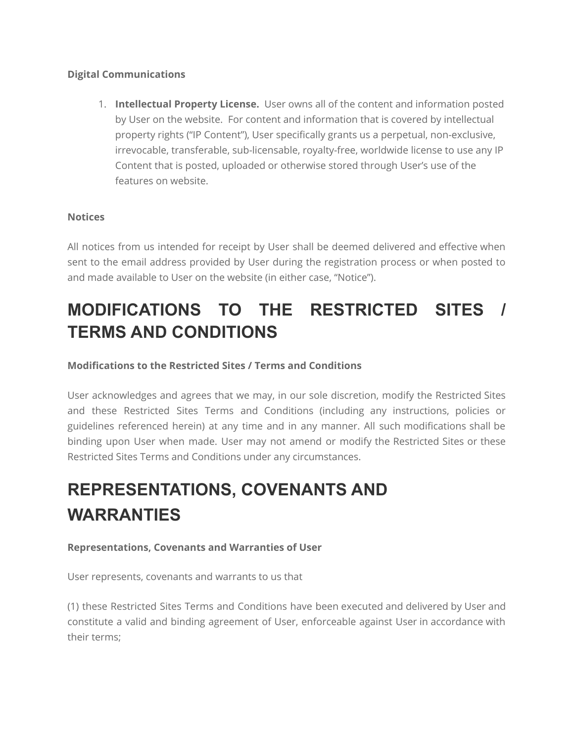## **Digital Communications**

1. **Intellectual Property License.** User owns all of the content and information posted by User on the website. For content and information that is covered by intellectual property rights ("IP Content"), User specifically grants us a perpetual, non-exclusive, irrevocable, transferable, sub-licensable, royalty-free, worldwide license to use any IP Content that is posted, uploaded or otherwise stored through User's use of the features on website.

# **Notices**

All notices from us intended for receipt by User shall be deemed delivered and effective when sent to the email address provided by User during the registration process or when posted to and made available to User on the website (in either case, "Notice").

# **MODIFICATIONS TO THE RESTRICTED SITES / TERMS AND CONDITIONS**

# **Modifications to the Restricted Sites / Terms and Conditions**

User acknowledges and agrees that we may, in our sole discretion, modify the Restricted Sites and these Restricted Sites Terms and Conditions (including any instructions, policies or guidelines referenced herein) at any time and in any manner. All such modifications shall be binding upon User when made. User may not amend or modify the Restricted Sites or these Restricted Sites Terms and Conditions under any circumstances.

# **REPRESENTATIONS, COVENANTS AND WARRANTIES**

# **Representations, Covenants and Warranties of User**

User represents, covenants and warrants to us that

(1) these Restricted Sites Terms and Conditions have been executed and delivered by User and constitute a valid and binding agreement of User, enforceable against User in accordance with their terms;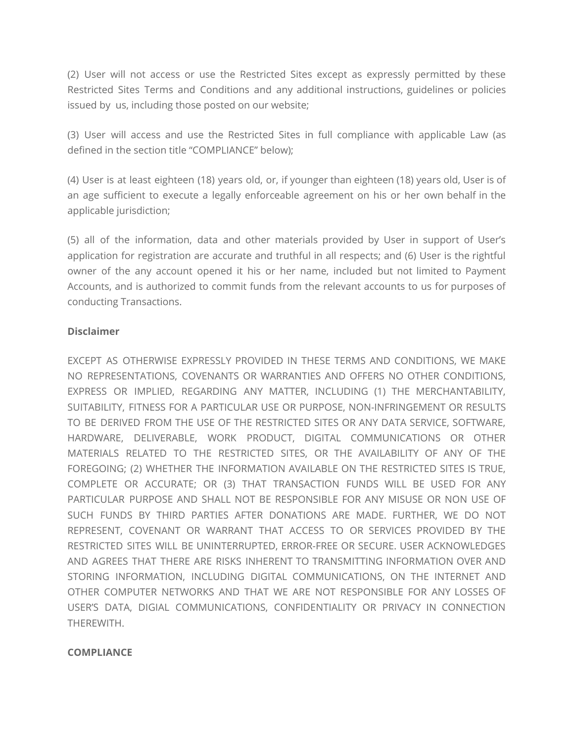(2) User will not access or use the Restricted Sites except as expressly permitted by these Restricted Sites Terms and Conditions and any additional instructions, guidelines or policies issued by us, including those posted on our website;

(3) User will access and use the Restricted Sites in full compliance with applicable Law (as defined in the section title "COMPLIANCE" below);

(4) User is at least eighteen (18) years old, or, if younger than eighteen (18) years old, User is of an age sufficient to execute a legally enforceable agreement on his or her own behalf in the applicable jurisdiction;

(5) all of the information, data and other materials provided by User in support of User's application for registration are accurate and truthful in all respects; and (6) User is the rightful owner of the any account opened it his or her name, included but not limited to Payment Accounts, and is authorized to commit funds from the relevant accounts to us for purposes of conducting Transactions.

# **Disclaimer**

EXCEPT AS OTHERWISE EXPRESSLY PROVIDED IN THESE TERMS AND CONDITIONS, WE MAKE NO REPRESENTATIONS, COVENANTS OR WARRANTIES AND OFFERS NO OTHER CONDITIONS, EXPRESS OR IMPLIED, REGARDING ANY MATTER, INCLUDING (1) THE MERCHANTABILITY, SUITABILITY, FITNESS FOR A PARTICULAR USE OR PURPOSE, NON-INFRINGEMENT OR RESULTS TO BE DERIVED FROM THE USE OF THE RESTRICTED SITES OR ANY DATA SERVICE, SOFTWARE, HARDWARE, DELIVERABLE, WORK PRODUCT, DIGITAL COMMUNICATIONS OR OTHER MATERIALS RELATED TO THE RESTRICTED SITES, OR THE AVAILABILITY OF ANY OF THE FOREGOING; (2) WHETHER THE INFORMATION AVAILABLE ON THE RESTRICTED SITES IS TRUE, COMPLETE OR ACCURATE; OR (3) THAT TRANSACTION FUNDS WILL BE USED FOR ANY PARTICULAR PURPOSE AND SHALL NOT BE RESPONSIBLE FOR ANY MISUSE OR NON USE OF SUCH FUNDS BY THIRD PARTIES AFTER DONATIONS ARE MADE. FURTHER, WE DO NOT REPRESENT, COVENANT OR WARRANT THAT ACCESS TO OR SERVICES PROVIDED BY THE RESTRICTED SITES WILL BE UNINTERRUPTED, ERROR-FREE OR SECURE. USER ACKNOWLEDGES AND AGREES THAT THERE ARE RISKS INHERENT TO TRANSMITTING INFORMATION OVER AND STORING INFORMATION, INCLUDING DIGITAL COMMUNICATIONS, ON THE INTERNET AND OTHER COMPUTER NETWORKS AND THAT WE ARE NOT RESPONSIBLE FOR ANY LOSSES OF USER'S DATA, DIGIAL COMMUNICATIONS, CONFIDENTIALITY OR PRIVACY IN CONNECTION THEREWITH.

# **COMPLIANCE**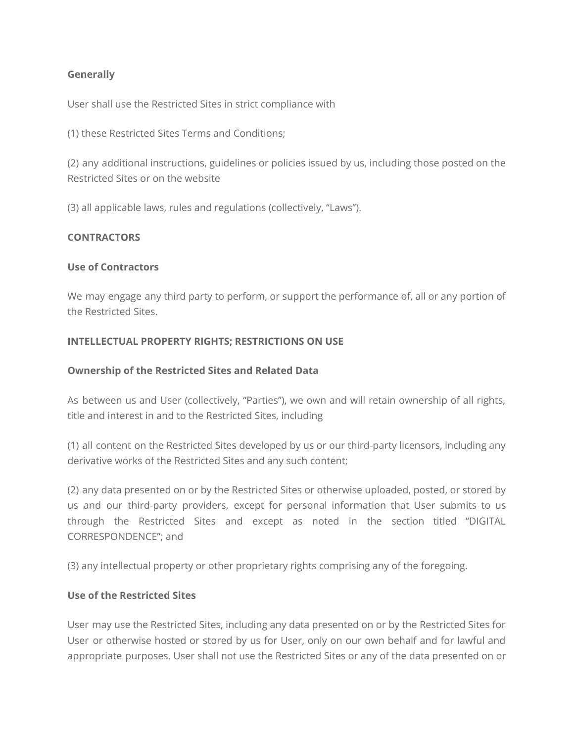## **Generally**

User shall use the Restricted Sites in strict compliance with

(1) these Restricted Sites Terms and Conditions;

(2) any additional instructions, guidelines or policies issued by us, including those posted on the Restricted Sites or on the website

(3) all applicable laws, rules and regulations (collectively, "Laws").

#### **CONTRACTORS**

## **Use of Contractors**

We may engage any third party to perform, or support the performance of, all or any portion of the Restricted Sites.

## **INTELLECTUAL PROPERTY RIGHTS; RESTRICTIONS ON USE**

#### **Ownership of the Restricted Sites and Related Data**

As between us and User (collectively, "Parties"), we own and will retain ownership of all rights, title and interest in and to the Restricted Sites, including

(1) all content on the Restricted Sites developed by us or our third-party licensors, including any derivative works of the Restricted Sites and any such content;

(2) any data presented on or by the Restricted Sites or otherwise uploaded, posted, or stored by us and our third-party providers, except for personal information that User submits to us through the Restricted Sites and except as noted in the section titled "DIGITAL CORRESPONDENCE"; and

(3) any intellectual property or other proprietary rights comprising any of the foregoing.

## **Use of the Restricted Sites**

User may use the Restricted Sites, including any data presented on or by the Restricted Sites for User or otherwise hosted or stored by us for User, only on our own behalf and for lawful and appropriate purposes. User shall not use the Restricted Sites or any of the data presented on or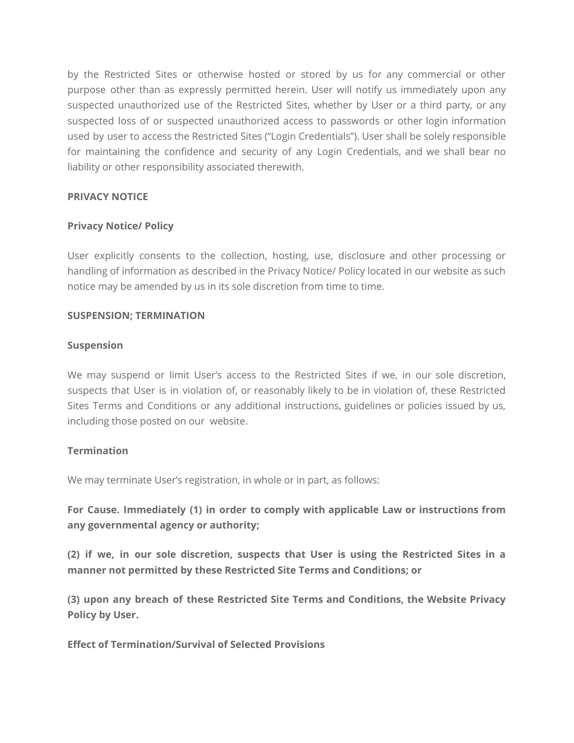by the Restricted Sites or otherwise hosted or stored by us for any commercial or other purpose other than as expressly permitted herein. User will notify us immediately upon any suspected unauthorized use of the Restricted Sites, whether by User or a third party, or any suspected loss of or suspected unauthorized access to passwords or other login information used by user to access the Restricted Sites ("Login Credentials"). User shall be solely responsible for maintaining the confidence and security of any Login Credentials, and we shall bear no liability or other responsibility associated therewith.

## **PRIVACY NOTICE**

## **Privacy Notice/ Policy**

User explicitly consents to the collection, hosting, use, disclosure and other processing or handling of information as described in the Privacy Notice/ Policy located in our website as such notice may be amended by us in its sole discretion from time to time.

#### **SUSPENSION; TERMINATION**

#### **Suspension**

We may suspend or limit User's access to the Restricted Sites if we, in our sole discretion, suspects that User is in violation of, or reasonably likely to be in violation of, these Restricted Sites Terms and Conditions or any additional instructions, guidelines or policies issued by us, including those posted on our website.

#### **Termination**

We may terminate User's registration, in whole or in part, as follows:

**For Cause. Immediately (1) in order to comply with applicable Law or instructions from any governmental agency or authority;**

**(2) if we, in our sole discretion, suspects that User is using the Restricted Sites in a manner not permitted by these Restricted Site Terms and Conditions; or**

**(3) upon any breach of these Restricted Site Terms and Conditions, the Website Privacy Policy by User.**

**Effect of Termination/Survival of Selected Provisions**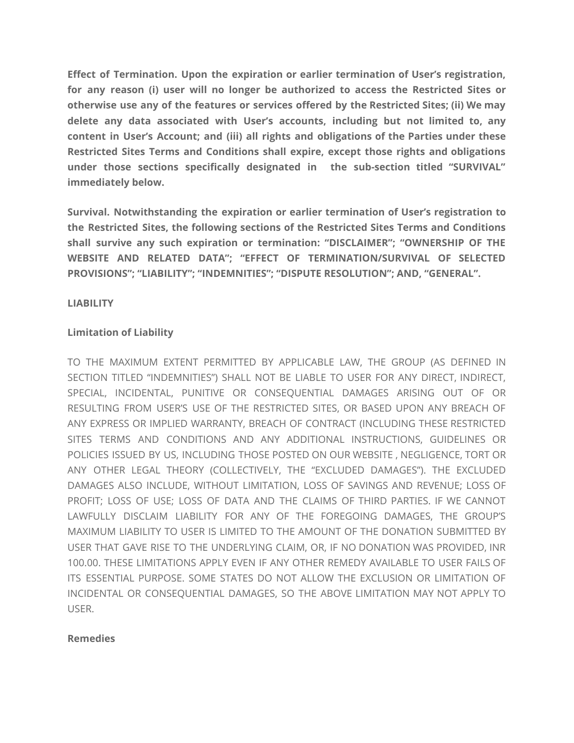**Effect of Termination. Upon the expiration or earlier termination of User's registration, for any reason (i) user will no longer be authorized to access the Restricted Sites or otherwise use any of the features or services offered by the Restricted Sites; (ii) We may delete any data associated with User's accounts, including but not limited to, any content in User's Account; and (iii) all rights and obligations of the Parties under these Restricted Sites Terms and Conditions shall expire, except those rights and obligations under those sections specifically designated in the sub-section titled "SURVIVAL" immediately below.**

**Survival. Notwithstanding the expiration or earlier termination of User's registration to the Restricted Sites, the following sections of the Restricted Sites Terms and Conditions shall survive any such expiration or termination: "DISCLAIMER"; "OWNERSHIP OF THE WEBSITE AND RELATED DATA"; "EFFECT OF TERMINATION/SURVIVAL OF SELECTED PROVISIONS"; "LIABILITY"; "INDEMNITIES"; "DISPUTE RESOLUTION"; AND, "GENERAL".**

## **LIABILITY**

## **Limitation of Liability**

TO THE MAXIMUM EXTENT PERMITTED BY APPLICABLE LAW, THE GROUP (AS DEFINED IN SECTION TITLED "INDEMNITIES") SHALL NOT BE LIABLE TO USER FOR ANY DIRECT, INDIRECT, SPECIAL, INCIDENTAL, PUNITIVE OR CONSEQUENTIAL DAMAGES ARISING OUT OF OR RESULTING FROM USER'S USE OF THE RESTRICTED SITES, OR BASED UPON ANY BREACH OF ANY EXPRESS OR IMPLIED WARRANTY, BREACH OF CONTRACT (INCLUDING THESE RESTRICTED SITES TERMS AND CONDITIONS AND ANY ADDITIONAL INSTRUCTIONS, GUIDELINES OR POLICIES ISSUED BY US, INCLUDING THOSE POSTED ON OUR WEBSITE , NEGLIGENCE, TORT OR ANY OTHER LEGAL THEORY (COLLECTIVELY, THE "EXCLUDED DAMAGES"). THE EXCLUDED DAMAGES ALSO INCLUDE, WITHOUT LIMITATION, LOSS OF SAVINGS AND REVENUE; LOSS OF PROFIT; LOSS OF USE; LOSS OF DATA AND THE CLAIMS OF THIRD PARTIES. IF WE CANNOT LAWFULLY DISCLAIM LIABILITY FOR ANY OF THE FOREGOING DAMAGES, THE GROUP'S MAXIMUM LIABILITY TO USER IS LIMITED TO THE AMOUNT OF THE DONATION SUBMITTED BY USER THAT GAVE RISE TO THE UNDERLYING CLAIM, OR, IF NO DONATION WAS PROVIDED, INR 100.00. THESE LIMITATIONS APPLY EVEN IF ANY OTHER REMEDY AVAILABLE TO USER FAILS OF ITS ESSENTIAL PURPOSE. SOME STATES DO NOT ALLOW THE EXCLUSION OR LIMITATION OF INCIDENTAL OR CONSEQUENTIAL DAMAGES, SO THE ABOVE LIMITATION MAY NOT APPLY TO USER.

#### **Remedies**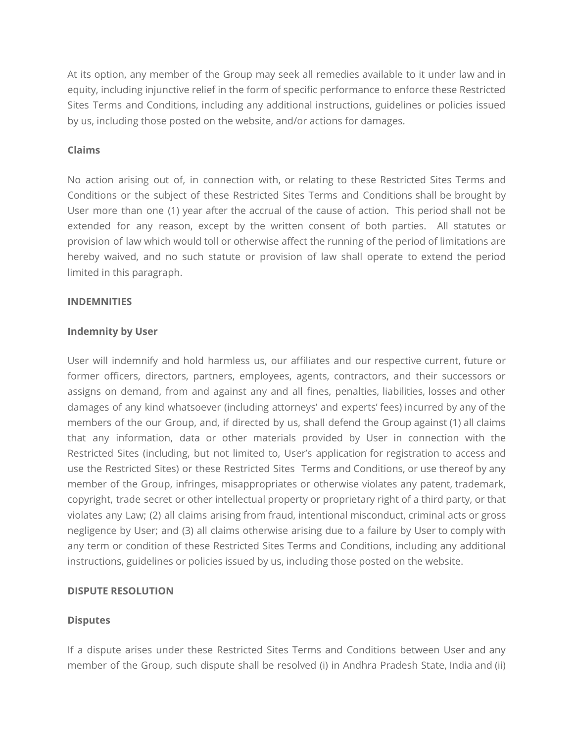At its option, any member of the Group may seek all remedies available to it under law and in equity, including injunctive relief in the form of specific performance to enforce these Restricted Sites Terms and Conditions, including any additional instructions, guidelines or policies issued by us, including those posted on the website, and/or actions for damages.

## **Claims**

No action arising out of, in connection with, or relating to these Restricted Sites Terms and Conditions or the subject of these Restricted Sites Terms and Conditions shall be brought by User more than one (1) year after the accrual of the cause of action. This period shall not be extended for any reason, except by the written consent of both parties. All statutes or provision of law which would toll or otherwise affect the running of the period of limitations are hereby waived, and no such statute or provision of law shall operate to extend the period limited in this paragraph.

## **INDEMNITIES**

## **Indemnity by User**

User will indemnify and hold harmless us, our affiliates and our respective current, future or former officers, directors, partners, employees, agents, contractors, and their successors or assigns on demand, from and against any and all fines, penalties, liabilities, losses and other damages of any kind whatsoever (including attorneys' and experts' fees) incurred by any of the members of the our Group, and, if directed by us, shall defend the Group against (1) all claims that any information, data or other materials provided by User in connection with the Restricted Sites (including, but not limited to, User's application for registration to access and use the Restricted Sites) or these Restricted Sites Terms and Conditions, or use thereof by any member of the Group, infringes, misappropriates or otherwise violates any patent, trademark, copyright, trade secret or other intellectual property or proprietary right of a third party, or that violates any Law; (2) all claims arising from fraud, intentional misconduct, criminal acts or gross negligence by User; and (3) all claims otherwise arising due to a failure by User to comply with any term or condition of these Restricted Sites Terms and Conditions, including any additional instructions, guidelines or policies issued by us, including those posted on the website.

# **DISPUTE RESOLUTION**

#### **Disputes**

If a dispute arises under these Restricted Sites Terms and Conditions between User and any member of the Group, such dispute shall be resolved (i) in Andhra Pradesh State, India and (ii)